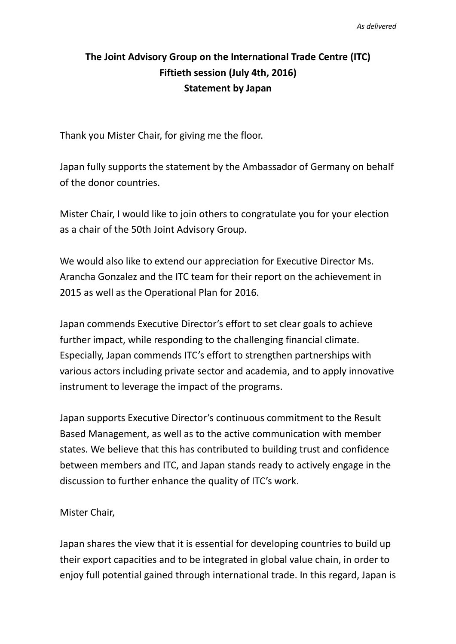## **The Joint Advisory Group on the International Trade Centre (ITC) Fiftieth session (July 4th, 2016) Statement by Japan**

Thank you Mister Chair, for giving me the floor.

Japan fully supports the statement by the Ambassador of Germany on behalf of the donor countries.

Mister Chair, I would like to join others to congratulate you for your election as a chair of the 50th Joint Advisory Group.

We would also like to extend our appreciation for Executive Director Ms. Arancha Gonzalez and the ITC team for their report on the achievement in 2015 as well as the Operational Plan for 2016.

Japan commends Executive Director's effort to set clear goals to achieve further impact, while responding to the challenging financial climate. Especially, Japan commends ITC's effort to strengthen partnerships with various actors including private sector and academia, and to apply innovative instrument to leverage the impact of the programs.

Japan supports Executive Director's continuous commitment to the Result Based Management, as well as to the active communication with member states. We believe that this has contributed to building trust and confidence between members and ITC, and Japan stands ready to actively engage in the discussion to further enhance the quality of ITC's work.

Mister Chair,

Japan shares the view that it is essential for developing countries to build up their export capacities and to be integrated in global value chain, in order to enjoy full potential gained through international trade. In this regard, Japan is